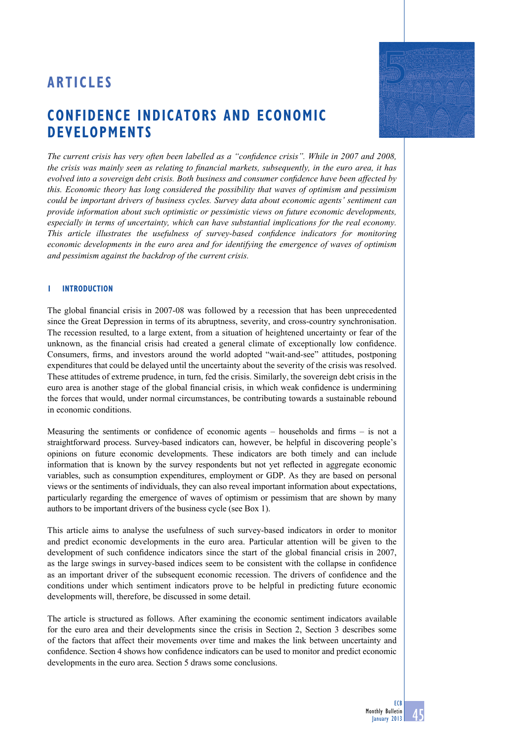# **ARTICLE S**

# **Confidence indicators and economic developments**

*The current crisis has very often been labelled as a "confidence crisis". While in 2007 and 2008, the crisis was mainly seen as relating to financial markets, subsequently, in the euro area, it has evolved into a sovereign debt crisis. Both business and consumer confidence have been affected by this. Economic theory has long considered the possibility that waves of optimism and pessimism could be important drivers of business cycles. Survey data about economic agents' sentiment can provide information about such optimistic or pessimistic views on future economic developments, especially in terms of uncertainty, which can have substantial implications for the real economy. This article illustrates the usefulness of survey-based confidence indicators for monitoring economic developments in the euro area and for identifying the emergence of waves of optimism and pessimism against the backdrop of the current crisis.* 

## **1 Introduction**

The global financial crisis in 2007-08 was followed by a recession that has been unprecedented since the Great Depression in terms of its abruptness, severity, and cross-country synchronisation. The recession resulted, to a large extent, from a situation of heightened uncertainty or fear of the unknown, as the financial crisis had created a general climate of exceptionally low confidence. Consumers, firms, and investors around the world adopted "wait-and-see" attitudes, postponing expenditures that could be delayed until the uncertainty about the severity of the crisis was resolved. These attitudes of extreme prudence, in turn, fed the crisis. Similarly, the sovereign debt crisis in the euro area is another stage of the global financial crisis, in which weak confidence is undermining the forces that would, under normal circumstances, be contributing towards a sustainable rebound in economic conditions.

Measuring the sentiments or confidence of economic agents – households and firms – is not a straightforward process. Survey-based indicators can, however, be helpful in discovering people's opinions on future economic developments. These indicators are both timely and can include information that is known by the survey respondents but not yet reflected in aggregate economic variables, such as consumption expenditures, employment or GDP. As they are based on personal views or the sentiments of individuals, they can also reveal important information about expectations, particularly regarding the emergence of waves of optimism or pessimism that are shown by many authors to be important drivers of the business cycle (see Box 1).

This article aims to analyse the usefulness of such survey-based indicators in order to monitor and predict economic developments in the euro area. Particular attention will be given to the development of such confidence indicators since the start of the global financial crisis in 2007, as the large swings in survey-based indices seem to be consistent with the collapse in confidence as an important driver of the subsequent economic recession. The drivers of confidence and the conditions under which sentiment indicators prove to be helpful in predicting future economic developments will, therefore, be discussed in some detail.

The article is structured as follows. After examining the economic sentiment indicators available for the euro area and their developments since the crisis in Section 2, Section 3 describes some of the factors that affect their movements over time and makes the link between uncertainty and confidence. Section 4 shows how confidence indicators can be used to monitor and predict economic developments in the euro area. Section 5 draws some conclusions.



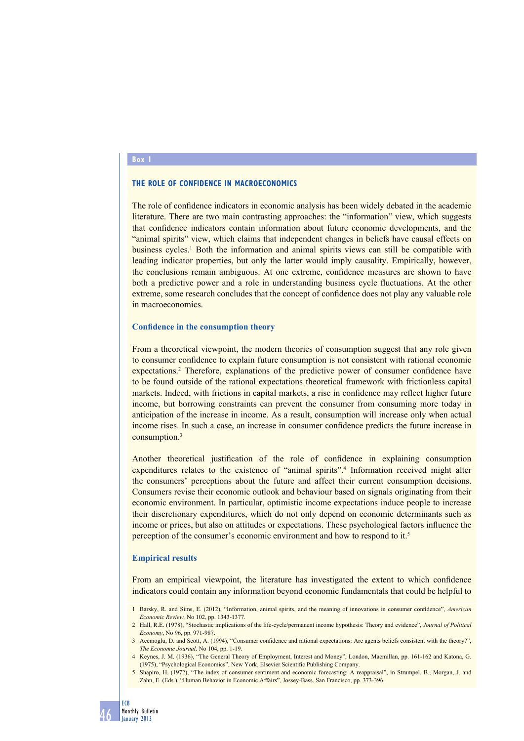### **Box 1**

## **The role of confidence in macroeconomics**

The role of confidence indicators in economic analysis has been widely debated in the academic literature. There are two main contrasting approaches: the "information" view, which suggests that confidence indicators contain information about future economic developments, and the "animal spirits" view, which claims that independent changes in beliefs have causal effects on business cycles.<sup>1</sup> Both the information and animal spirits views can still be compatible with leading indicator properties, but only the latter would imply causality. Empirically, however, the conclusions remain ambiguous. At one extreme, confidence measures are shown to have both a predictive power and a role in understanding business cycle fluctuations. At the other extreme, some research concludes that the concept of confidence does not play any valuable role in macroeconomics.

#### **Confidence in the consumption theory**

From a theoretical viewpoint, the modern theories of consumption suggest that any role given to consumer confidence to explain future consumption is not consistent with rational economic expectations.<sup>2</sup> Therefore, explanations of the predictive power of consumer confidence have to be found outside of the rational expectations theoretical framework with frictionless capital markets. Indeed, with frictions in capital markets, a rise in confidence may reflect higher future income, but borrowing constraints can prevent the consumer from consuming more today in anticipation of the increase in income. As a result, consumption will increase only when actual income rises. In such a case, an increase in consumer confidence predicts the future increase in consumption.3

Another theoretical justification of the role of confidence in explaining consumption expenditures relates to the existence of "animal spirits".<sup>4</sup> Information received might alter the consumers' perceptions about the future and affect their current consumption decisions. Consumers revise their economic outlook and behaviour based on signals originating from their economic environment. In particular, optimistic income expectations induce people to increase their discretionary expenditures, which do not only depend on economic determinants such as income or prices, but also on attitudes or expectations. These psychological factors influence the perception of the consumer's economic environment and how to respond to it.5

#### **Empirical results**

From an empirical viewpoint, the literature has investigated the extent to which confidence indicators could contain any information beyond economic fundamentals that could be helpful to

- 1 Barsky, R. and Sims, E. (2012), "Information, animal spirits, and the meaning of innovations in consumer confidence", *American Economic Review,* No 102, pp. 1343-1377.
- 2 Hall, R.E. (1978), "Stochastic implications of the life-cycle/permanent income hypothesis: Theory and evidence", *Journal of Political Economy*, No 96, pp. 971-987.
- 3 Acemoglu, D. and Scott, A. (1994), "Consumer confidence and rational expectations: Are agents beliefs consistent with the theory?", *The Economic Journal,* No 104, pp. 1-19.
- 4 Keynes, J. M. (1936), "The General Theory of Employment, Interest and Money", London, Macmillan, pp. 161-162 and Katona, G. (1975), "Psychological Economics", New York, Elsevier Scientific Publishing Company.
- 5 Shapiro, H. (1972), "The index of consumer sentiment and economic forecasting: A reappraisal", in Strumpel, B., Morgan, J. and Zahn, E. (Eds.), "Human Behavior in Economic Affairs", Jossey-Bass, San Francisco, pp. 373-396.

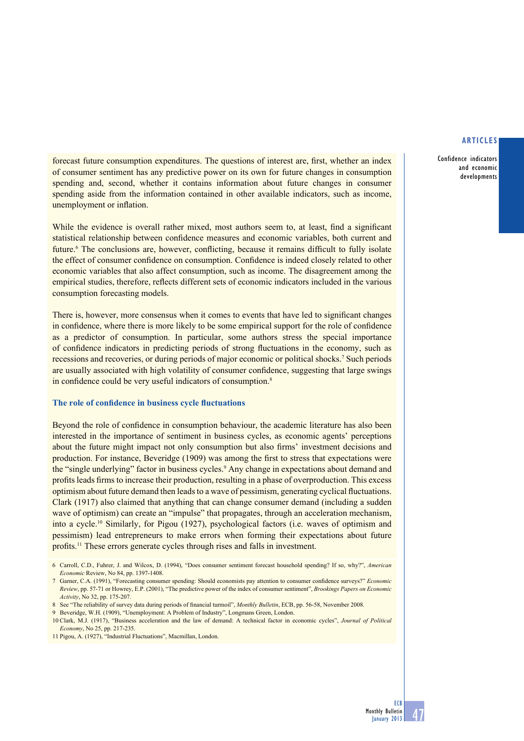## **articles**

Confidence indicators and economic developments

forecast future consumption expenditures. The questions of interest are, first, whether an index of consumer sentiment has any predictive power on its own for future changes in consumption spending and, second, whether it contains information about future changes in consumer spending aside from the information contained in other available indicators, such as income, unemployment or inflation.

While the evidence is overall rather mixed, most authors seem to, at least, find a significant statistical relationship between confidence measures and economic variables, both current and future.<sup>6</sup> The conclusions are, however, conflicting, because it remains difficult to fully isolate the effect of consumer confidence on consumption. Confidence is indeed closely related to other economic variables that also affect consumption, such as income. The disagreement among the empirical studies, therefore, reflects different sets of economic indicators included in the various consumption forecasting models.

There is, however, more consensus when it comes to events that have led to significant changes in confidence, where there is more likely to be some empirical support for the role of confidence as a predictor of consumption. In particular, some authors stress the special importance of confidence indicators in predicting periods of strong fluctuations in the economy, such as recessions and recoveries, or during periods of major economic or political shocks.<sup>7</sup> Such periods are usually associated with high volatility of consumer confidence, suggesting that large swings in confidence could be very useful indicators of consumption.<sup>8</sup>

## **The role of confidence in business cycle fluctuations**

Beyond the role of confidence in consumption behaviour, the academic literature has also been interested in the importance of sentiment in business cycles, as economic agents' perceptions about the future might impact not only consumption but also firms' investment decisions and production. For instance, Beveridge (1909) was among the first to stress that expectations were the "single underlying" factor in business cycles.<sup>9</sup> Any change in expectations about demand and profits leads firms to increase their production, resulting in a phase of overproduction. This excess optimism about future demand then leads to a wave of pessimism, generating cyclical fluctuations. Clark (1917) also claimed that anything that can change consumer demand (including a sudden wave of optimism) can create an "impulse" that propagates, through an acceleration mechanism, into a cycle.10 Similarly, for Pigou (1927), psychological factors (i.e. waves of optimism and pessimism) lead entrepreneurs to make errors when forming their expectations about future profits.11 These errors generate cycles through rises and falls in investment.

<sup>6</sup> Carroll, C.D., Fuhrer, J. and Wilcox, D. (1994), "Does consumer sentiment forecast household spending? If so, why?", *American Economic* Review, No 84, pp. 1397-1408.

<sup>7</sup> Garner, C.A. (1991), "Forecasting consumer spending: Should economists pay attention to consumer confidence surveys?" *Economic Review*, pp. 57-71 or Howrey, E.P. (2001), "The predictive power of the index of consumer sentiment", *Brookings Papers on Economic Activity*, No 32, pp. 175-207.

<sup>8</sup> See "The reliability of survey data during periods of financial turmoil", *Monthly Bulletin*, ECB, pp. 56-58, November 2008.

<sup>9</sup> Beveridge, W.H. (1909), "Unemployment: A Problem of Industry", Longmans Green, London.

<sup>10</sup> Clark, M.J. (1917), "Business acceleration and the law of demand: A technical factor in economic cycles", *Journal of Political Economy*, No 25, pp. 217-235.

<sup>11</sup> Pigou, A. (1927), "Industrial Fluctuations", Macmillan, London.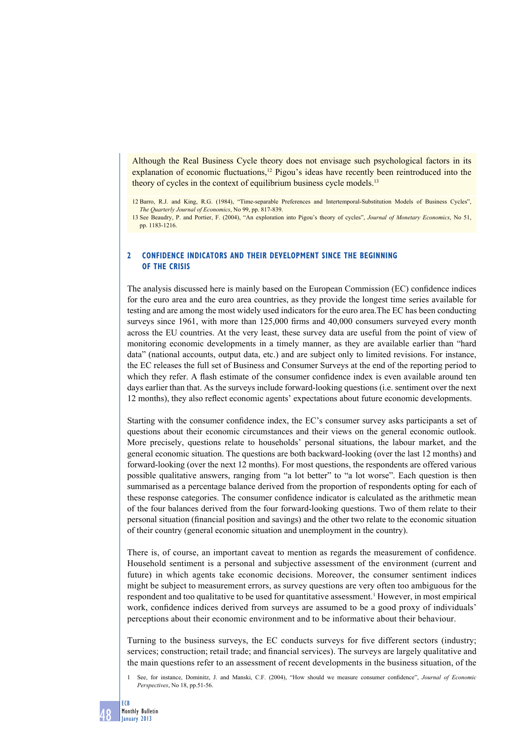Although the Real Business Cycle theory does not envisage such psychological factors in its explanation of economic fluctuations,<sup>12</sup> Pigou's ideas have recently been reintroduced into the theory of cycles in the context of equilibrium business cycle models.<sup>13</sup>

12 Barro, R.J. and King, R.G. (1984), "Time-separable Preferences and Intertemporal-Substitution Models of Business Cycles", *The Quarterly Journal of Economics*, No 99, pp. 817-839.

13 See Beaudry, P. and Portier, F. (2004), "An exploration into Pigou's theory of cycles", *Journal of Monetary Economics*, No 51, pp. 1183-1216.

## **2 Confidence indicators and their development since the beginning of the crisis**

The analysis discussed here is mainly based on the European Commission (EC) confidence indices for the euro area and the euro area countries, as they provide the longest time series available for testing and are among the most widely used indicators for the euro area.The EC has been conducting surveys since 1961, with more than 125,000 firms and 40,000 consumers surveyed every month across the EU countries. At the very least, these survey data are useful from the point of view of monitoring economic developments in a timely manner, as they are available earlier than "hard data" (national accounts, output data, etc.) and are subject only to limited revisions. For instance, the EC releases the full set of Business and Consumer Surveys at the end of the reporting period to which they refer. A flash estimate of the consumer confidence index is even available around ten days earlier than that. As the surveys include forward-looking questions (i.e. sentiment over the next 12 months), they also reflect economic agents' expectations about future economic developments.

Starting with the consumer confidence index, the EC's consumer survey asks participants a set of questions about their economic circumstances and their views on the general economic outlook. More precisely, questions relate to households' personal situations, the labour market, and the general economic situation. The questions are both backward-looking (over the last 12 months) and forward-looking (over the next 12 months). For most questions, the respondents are offered various possible qualitative answers, ranging from "a lot better" to "a lot worse". Each question is then summarised as a percentage balance derived from the proportion of respondents opting for each of these response categories. The consumer confidence indicator is calculated as the arithmetic mean of the four balances derived from the four forward-looking questions. Two of them relate to their personal situation (financial position and savings) and the other two relate to the economic situation of their country (general economic situation and unemployment in the country).

There is, of course, an important caveat to mention as regards the measurement of confidence. Household sentiment is a personal and subjective assessment of the environment (current and future) in which agents take economic decisions. Moreover, the consumer sentiment indices might be subject to measurement errors, as survey questions are very often too ambiguous for the respondent and too qualitative to be used for quantitative assessment.<sup>1</sup> However, in most empirical work, confidence indices derived from surveys are assumed to be a good proxy of individuals' perceptions about their economic environment and to be informative about their behaviour.

Turning to the business surveys, the EC conducts surveys for five different sectors (industry; services; construction; retail trade; and financial services). The surveys are largely qualitative and the main questions refer to an assessment of recent developments in the business situation, of the

1 See, for instance, Dominitz, J. and Manski, C.F. (2004), "How should we measure consumer confidence", *Journal of Economic Perspectives*, No 18, pp.51-56.

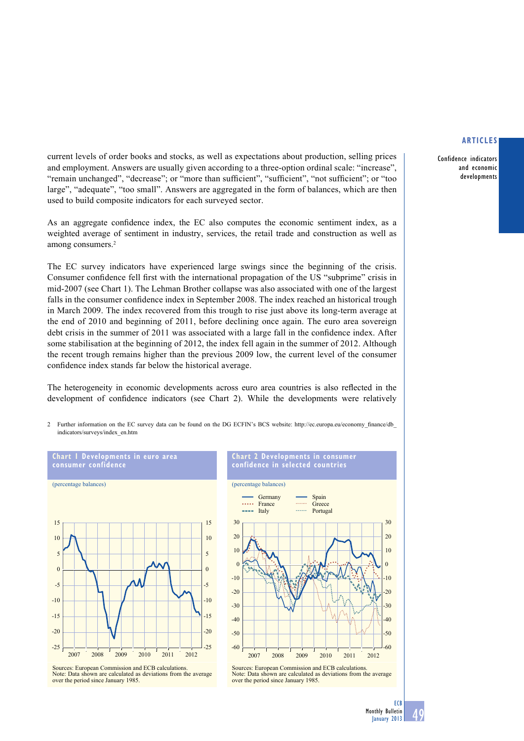Confidence indicators and economic developments

current levels of order books and stocks, as well as expectations about production, selling prices and employment. Answers are usually given according to a three-option ordinal scale: "increase", "remain unchanged", "decrease"; or "more than sufficient", "sufficient", "not sufficient"; or "too large", "adequate", "too small". Answers are aggregated in the form of balances, which are then used to build composite indicators for each surveyed sector.

As an aggregate confidence index, the EC also computes the economic sentiment index, as a weighted average of sentiment in industry, services, the retail trade and construction as well as among consumers.<sup>2</sup>

The EC survey indicators have experienced large swings since the beginning of the crisis. Consumer confidence fell first with the international propagation of the US "subprime" crisis in mid-2007 (see Chart 1). The Lehman Brother collapse was also associated with one of the largest falls in the consumer confidence index in September 2008. The index reached an historical trough in March 2009. The index recovered from this trough to rise just above its long-term average at the end of 2010 and beginning of 2011, before declining once again. The euro area sovereign debt crisis in the summer of 2011 was associated with a large fall in the confidence index. After some stabilisation at the beginning of 2012, the index fell again in the summer of 2012. Although the recent trough remains higher than the previous 2009 low, the current level of the consumer confidence index stands far below the historical average.

The heterogeneity in economic developments across euro area countries is also reflected in the development of confidence indicators (see Chart 2). While the developments were relatively

2 Further information on the EC survey data can be found on the DG ECFIN's BCS website: http://ec.europa.eu/economy\_fi nance/db\_ indicators/surveys/index\_en.htm



**Chart 1 developments in euro area** 





Sources: European Commission and ECB calculations. Note: Data shown are calculated as deviations from the average over the period since January 1985.

Sources: European Commission and ECB calculations. Note: Data shown are calculated as deviations from the average over the period since January 1985.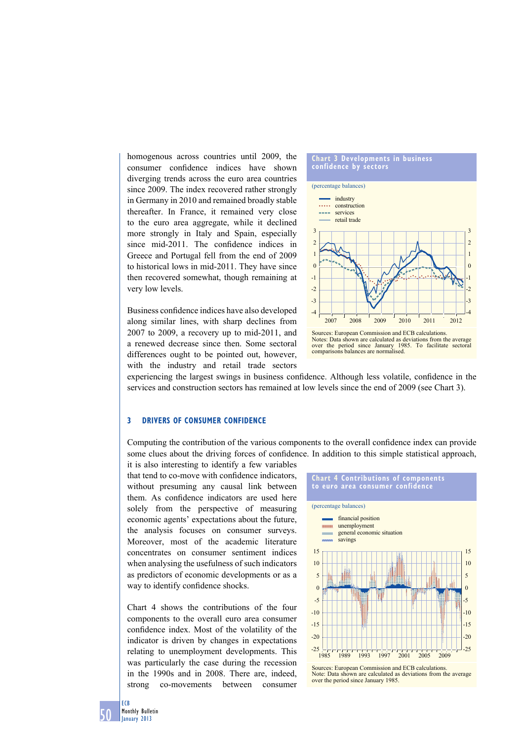homogenous across countries until 2009, the consumer confidence indices have shown diverging trends across the euro area countries since 2009. The index recovered rather strongly in Germany in 2010 and remained broadly stable thereafter. In France, it remained very close to the euro area aggregate, while it declined more strongly in Italy and Spain, especially since mid-2011. The confidence indices in Greece and Portugal fell from the end of 2009 to historical lows in mid-2011. They have since then recovered somewhat, though remaining at very low levels.

Business confidence indices have also developed along similar lines, with sharp declines from 2007 to 2009, a recovery up to mid-2011, and a renewed decrease since then. Some sectoral differences ought to be pointed out, however, with the industry and retail trade sectors



experiencing the largest swings in business confidence. Although less volatile, confidence in the services and construction sectors has remained at low levels since the end of 2009 (see Chart 3).

## **3 driVerS oF ConSumer ConFidenCe**

Computing the contribution of the various components to the overall confidence index can provide some clues about the driving forces of confidence. In addition to this simple statistical approach,

it is also interesting to identify a few variables that tend to co-move with confidence indicators, without presuming any causal link between them. As confidence indicators are used here solely from the perspective of measuring economic agents' expectations about the future, the analysis focuses on consumer surveys. Moreover, most of the academic literature concentrates on consumer sentiment indices when analysing the usefulness of such indicators as predictors of economic developments or as a way to identify confidence shocks.

Chart 4 shows the contributions of the four components to the overall euro area consumer confidence index. Most of the volatility of the indicator is driven by changes in expectations relating to unemployment developments. This was particularly the case during the recession in the 1990s and in 2008. There are, indeed, strong co-movements between consumer



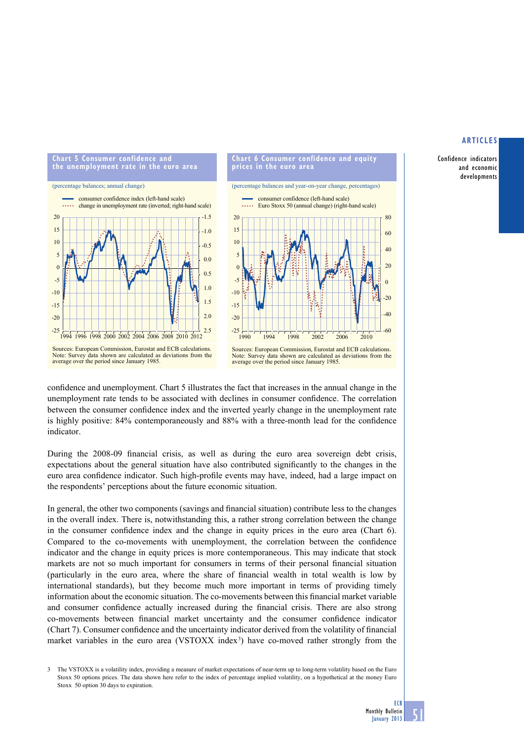Confidence indicators and economic developments



(percentage balances and year-on-year change, percentages) consumer confidence (left-hand scale) Euro Stoxx 50 (annual change) (right-hand scale) 80 60  $\overline{40}$  $\overline{2}$  $\mathbf{0}$  $20$ 

Sources: European Commission, Eurostat and ECB calculations. Note: Survey data shown are calculated as deviations from the average over the period since January 1985.

confidence and unemployment. Chart 5 illustrates the fact that increases in the annual change in the unemployment rate tends to be associated with declines in consumer confidence. The correlation between the consumer confidence index and the inverted yearly change in the unemployment rate is highly positive:  $84\%$  contemporaneously and  $88\%$  with a three-month lead for the confidence indicator.

During the 2008-09 financial crisis, as well as during the euro area sovereign debt crisis, expectations about the general situation have also contributed significantly to the changes in the euro area confidence indicator. Such high-profile events may have, indeed, had a large impact on the respondents' perceptions about the future economic situation.

In general, the other two components (savings and financial situation) contribute less to the changes in the overall index. There is, notwithstanding this, a rather strong correlation between the change in the consumer confidence index and the change in equity prices in the euro area (Chart 6). Compared to the co-movements with unemployment, the correlation between the confidence indicator and the change in equity prices is more contemporaneous. This may indicate that stock markets are not so much important for consumers in terms of their personal financial situation (particularly in the euro area, where the share of financial wealth in total wealth is low by international standards), but they become much more important in terms of providing timely information about the economic situation. The co-movements between this financial market variable and consumer confidence actually increased during the financial crisis. There are also strong co-movements between financial market uncertainty and the consumer confidence indicator (Chart 7). Consumer confidence and the uncertainty indicator derived from the volatility of financial market variables in the euro area (VSTOXX index<sup>3</sup>) have co-moved rather strongly from the

3 The VSTOXX is a volatility index, providing a measure of market expectations of near-term up to long-term volatility based on the Euro Stoxx 50 options prices. The data shown here refer to the index of percentage implied volatility, on a hypothetical at the money Euro Stoxx 50 option 30 days to expiration.

 $-40$ -60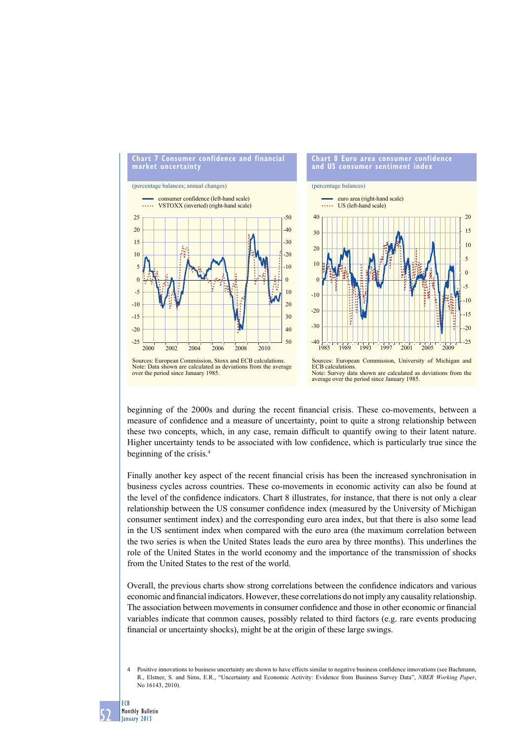

beginning of the 2000s and during the recent financial crisis. These co-movements, between a measure of confidence and a measure of uncertainty, point to quite a strong relationship between these two concepts, which, in any case, remain difficult to quantify owing to their latent nature. Higher uncertainty tends to be associated with low confidence, which is particularly true since the beginning of the crisis.4

Finally another key aspect of the recent financial crisis has been the increased synchronisation in business cycles across countries. These co-movements in economic activity can also be found at the level of the confidence indicators. Chart 8 illustrates, for instance, that there is not only a clear relationship between the US consumer confidence index (measured by the University of Michigan consumer sentiment index) and the corresponding euro area index, but that there is also some lead in the US sentiment index when compared with the euro area (the maximum correlation between the two series is when the United States leads the euro area by three months). This underlines the role of the United States in the world economy and the importance of the transmission of shocks from the United States to the rest of the world.

Overall, the previous charts show strong correlations between the confidence indicators and various economic and financial indicators. However, these correlations do not imply any causality relationship. The association between movements in consumer confidence and those in other economic or financial variables indicate that common causes, possibly related to third factors (e.g. rare events producing financial or uncertainty shocks), might be at the origin of these large swings.

4 Positive innovations to business uncertainty are shown to have effects similar to negative business confidence innovations (see Bachmann, R., Elstner, S. and Sims, E.R., "Uncertainty and Economic Activity: Evidence from Business Survey Data", *NBER Working Paper*, No 16143, 2010).

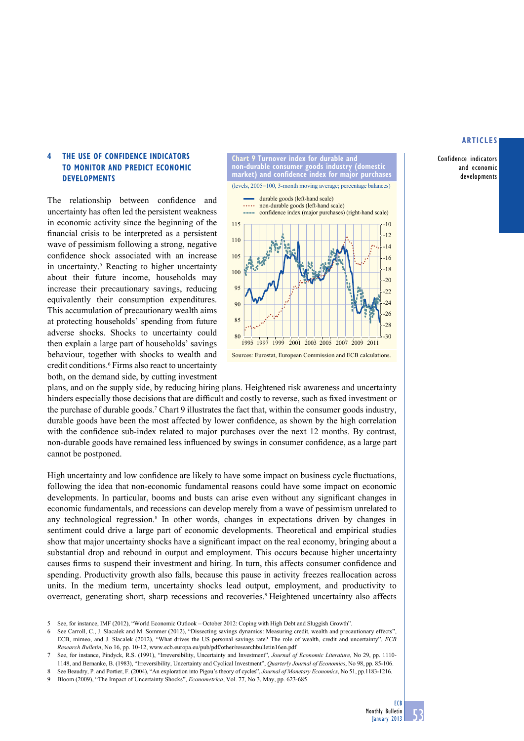Confidence indicators and economic developments

# **4 the uSe oF ConFidenCe indiCatorS to monitor and PrediCt eConomiC deVeloPmentS**

The relationship between confidence and uncertainty has often led the persistent weakness in economic activity since the beginning of the financial crisis to be interpreted as a persistent wave of pessimism following a strong, negative confidence shock associated with an increase in uncertainty.5 Reacting to higher uncertainty about their future income, households may increase their precautionary savings, reducing equivalently their consumption expenditures. This accumulation of precautionary wealth aims at protecting households' spending from future adverse shocks. Shocks to uncertainty could then explain a large part of households' savings behaviour, together with shocks to wealth and credit conditions.<sup>6</sup> Firms also react to uncertainty both, on the demand side, by cutting investment



plans, and on the supply side, by reducing hiring plans. Heightened risk awareness and uncertainty hinders especially those decisions that are difficult and costly to reverse, such as fixed investment or the purchase of durable goods.7 Chart 9 illustrates the fact that, within the consumer goods industry, durable goods have been the most affected by lower confidence, as shown by the high correlation with the confidence sub-index related to major purchases over the next 12 months. By contrast, non-durable goods have remained less influenced by swings in consumer confidence, as a large part cannot be postponed.

High uncertainty and low confidence are likely to have some impact on business cycle fluctuations, following the idea that non-economic fundamental reasons could have some impact on economic developments. In particular, booms and busts can arise even without any significant changes in economic fundamentals, and recessions can develop merely from a wave of pessimism unrelated to any technological regression.<sup>8</sup> In other words, changes in expectations driven by changes in sentiment could drive a large part of economic developments. Theoretical and empirical studies show that major uncertainty shocks have a significant impact on the real economy, bringing about a substantial drop and rebound in output and employment. This occurs because higher uncertainty causes firms to suspend their investment and hiring. In turn, this affects consumer confidence and spending. Productivity growth also falls, because this pause in activity freezes reallocation across units. In the medium term, uncertainty shocks lead output, employment, and productivity to overreact, generating short, sharp recessions and recoveries.9 Heightened uncertainty also affects

<sup>5</sup> See, for instance, IMF (2012), "World Economic Outlook – October 2012: Coping with High Debt and Sluggish Growth".

<sup>6</sup> See Carroll, C., J. Slacalek and M. Sommer (2012), "Dissecting savings dynamics: Measuring credit, wealth and precautionary effects", ECB, mimeo, and J. Slacalek (2012), "What drives the US personal savings rate? The role of wealth, credit and uncertainty", *ECB Research Bulletin*, No 16, pp. 10-12, www.ecb.europa.eu/pub/pdf/other/researchbulletin16en.pdf

<sup>7</sup> See, for instance, Pindyck, R.S. (1991), "Irreversibility, Uncertainty and Investment", *Journal of Economic Literature*, No 29, pp. 1110-

<sup>1148,</sup> and Bernanke, B. (1983), "Irreversibility, Uncertainty and Cyclical Investment", *Quarterly Journal of Economics*, No 98, pp. 85-106. 8 See Beaudry, P. and Portier, F. (2004), "An exploration into Pigou's theory of cycles", *Journal of Monetary Economics*, No 51, pp.1183-1216.

<sup>9</sup> Bloom (2009), "The Impact of Uncertainty Shocks", *Econometrica*, Vol. 77, No 3, May, pp. 623-685.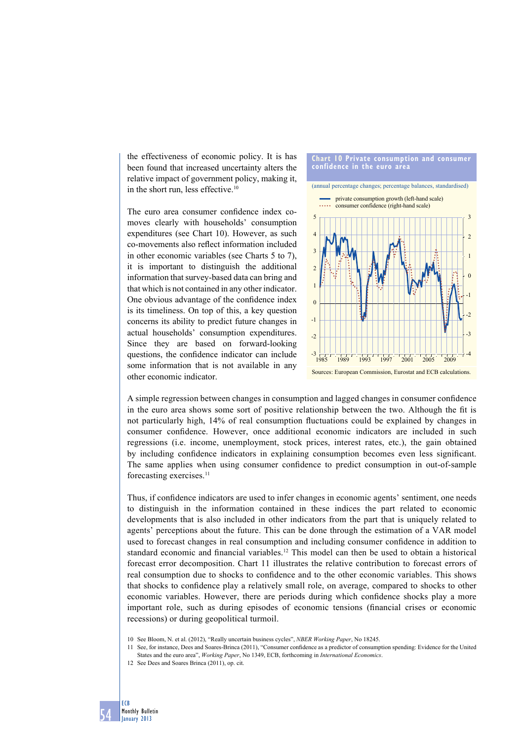the effectiveness of economic policy. It is has been found that increased uncertainty alters the relative impact of government policy, making it, in the short run, less effective.10

The euro area consumer confidence index comoves clearly with households' consumption expenditures (see Chart 10). However, as such co-movements also reflect information included in other economic variables (see Charts 5 to 7), it is important to distinguish the additional information that survey-based data can bring and that which is not contained in any other indicator. One obvious advantage of the confidence index is its timeliness. On top of this, a key question concerns its ability to predict future changes in actual households' consumption expenditures. Since they are based on forward-looking questions, the confidence indicator can include some information that is not available in any other economic indicator.



A simple regression between changes in consumption and lagged changes in consumer confidence in the euro area shows some sort of positive relationship between the two. Although the fit is not particularly high, 14% of real consumption fluctuations could be explained by changes in consumer confidence. However, once additional economic indicators are included in such regressions (i.e. income, unemployment, stock prices, interest rates, etc.), the gain obtained by including confidence indicators in explaining consumption becomes even less significant. The same applies when using consumer confidence to predict consumption in out-of-sample forecasting exercises.11

Thus, if confidence indicators are used to infer changes in economic agents' sentiment, one needs to distinguish in the information contained in these indices the part related to economic developments that is also included in other indicators from the part that is uniquely related to agents' perceptions about the future. This can be done through the estimation of a VAR model used to forecast changes in real consumption and including consumer confidence in addition to standard economic and financial variables.<sup>12</sup> This model can then be used to obtain a historical forecast error decomposition. Chart 11 illustrates the relative contribution to forecast errors of real consumption due to shocks to confidence and to the other economic variables. This shows that shocks to confidence play a relatively small role, on average, compared to shocks to other economic variables. However, there are periods during which confidence shocks play a more important role, such as during episodes of economic tensions (financial crises or economic recessions) or during geopolitical turmoil.

<sup>12</sup> See Dees and Soares Brinca (2011), op. cit.



<sup>10</sup> See Bloom, N. et al. (2012), "Really uncertain business cycles", *NBER Working Paper*, No 18245.

<sup>11</sup> See, for instance, Dees and Soares-Brinca (2011), "Consumer confi dence as a predictor of consumption spending: Evidence for the United States and the euro area", *Working Paper*, No 1349, ECB, forthcoming in *International Economics*.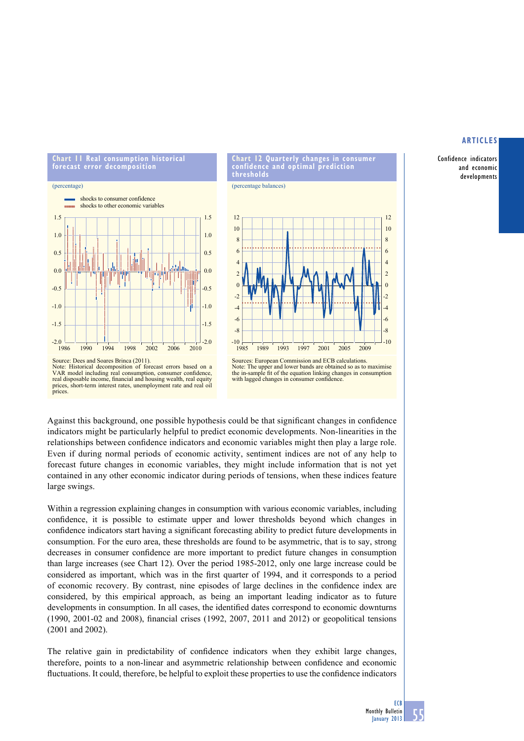Confidence indicators and economic developments



**Chart 12 quarterly changes in consumer confidence and optimal prediction thresholds**

(percentage balances)



Source: Dees and Soares Brinca (2011). Note: Historical decomposition of forecast errors based on a VAR model including real consumption, consumer confidence, real disposable income, financial and housing wealth, real equity prices, short-term interest rates, unemployment rate and real oil prices.

Sources: European Commission and ECB calculations. Note: The upper and lower bands are obtained so as to maximise the in-sample fi t of the equation linking changes in consumption with lagged changes in consumer confidence

Against this background, one possible hypothesis could be that significant changes in confidence indicators might be particularly helpful to predict economic developments. Non-linearities in the relationships between confidence indicators and economic variables might then play a large role. Even if during normal periods of economic activity, sentiment indices are not of any help to forecast future changes in economic variables, they might include information that is not yet contained in any other economic indicator during periods of tensions, when these indices feature large swings.

Within a regression explaining changes in consumption with various economic variables, including confidence, it is possible to estimate upper and lower thresholds beyond which changes in confidence indicators start having a significant forecasting ability to predict future developments in consumption. For the euro area, these thresholds are found to be asymmetric, that is to say, strong decreases in consumer confidence are more important to predict future changes in consumption than large increases (see Chart 12). Over the period 1985-2012, only one large increase could be considered as important, which was in the first quarter of 1994, and it corresponds to a period of economic recovery. By contrast, nine episodes of large declines in the confidence index are considered, by this empirical approach, as being an important leading indicator as to future developments in consumption. In all cases, the identified dates correspond to economic downturns  $(1990, 2001-02, 2008)$ , financial crises  $(1992, 2007, 2011, 2012)$  or geopolitical tensions (2001 and 2002).

The relative gain in predictability of confidence indicators when they exhibit large changes, therefore, points to a non-linear and asymmetric relationship between confidence and economic fluctuations. It could, therefore, be helpful to exploit these properties to use the confidence indicators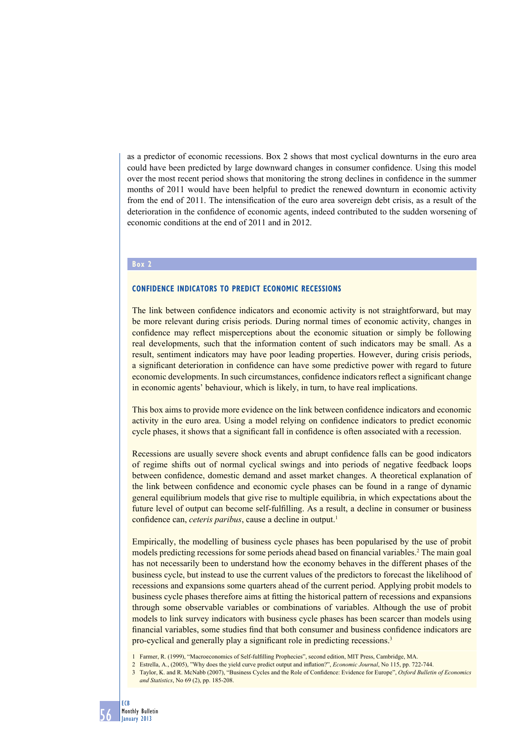as a predictor of economic recessions. Box 2 shows that most cyclical downturns in the euro area could have been predicted by large downward changes in consumer confidence. Using this model over the most recent period shows that monitoring the strong declines in confidence in the summer months of 2011 would have been helpful to predict the renewed downturn in economic activity from the end of 2011. The intensification of the euro area sovereign debt crisis, as a result of the deterioration in the confidence of economic agents, indeed contributed to the sudden worsening of economic conditions at the end of 2011 and in 2012.

## **Box 2**

### **Confidence indicators to predict economic recessions**

The link between confidence indicators and economic activity is not straightforward, but may be more relevant during crisis periods. During normal times of economic activity, changes in confidence may reflect misperceptions about the economic situation or simply be following real developments, such that the information content of such indicators may be small. As a result, sentiment indicators may have poor leading properties. However, during crisis periods, a significant deterioration in confidence can have some predictive power with regard to future economic developments. In such circumstances, confidence indicators reflect a significant change in economic agents' behaviour, which is likely, in turn, to have real implications.

This box aims to provide more evidence on the link between confidence indicators and economic activity in the euro area. Using a model relying on confidence indicators to predict economic cycle phases, it shows that a significant fall in confidence is often associated with a recession.

Recessions are usually severe shock events and abrupt confidence falls can be good indicators of regime shifts out of normal cyclical swings and into periods of negative feedback loops between confidence, domestic demand and asset market changes. A theoretical explanation of the link between confidence and economic cycle phases can be found in a range of dynamic general equilibrium models that give rise to multiple equilibria, in which expectations about the future level of output can become self-fulfilling. As a result, a decline in consumer or business confidence can, *ceteris paribus*, cause a decline in output.<sup>1</sup>

Empirically, the modelling of business cycle phases has been popularised by the use of probit models predicting recessions for some periods ahead based on financial variables.<sup>2</sup> The main goal has not necessarily been to understand how the economy behaves in the different phases of the business cycle, but instead to use the current values of the predictors to forecast the likelihood of recessions and expansions some quarters ahead of the current period. Applying probit models to business cycle phases therefore aims at fitting the historical pattern of recessions and expansions through some observable variables or combinations of variables. Although the use of probit models to link survey indicators with business cycle phases has been scarcer than models using financial variables, some studies find that both consumer and business confidence indicators are pro-cyclical and generally play a significant role in predicting recessions.<sup>3</sup>

- 1 Farmer, R. (1999), "Macroeconomics of Self-fulfilling Prophecies", second edition, MIT Press, Cambridge, MA.
- 2 Estrella, A., (2005), "Why does the yield curve predict output and inflation?", *Economic Journal*, No 115, pp. 722-744.
- 3 Taylor, K. and R. McNabb (2007), "Business Cycles and the Role of Confidence: Evidence for Europe", *Oxford Bulletin of Economics and Statistics*, No 69 (2), pp. 185-208.

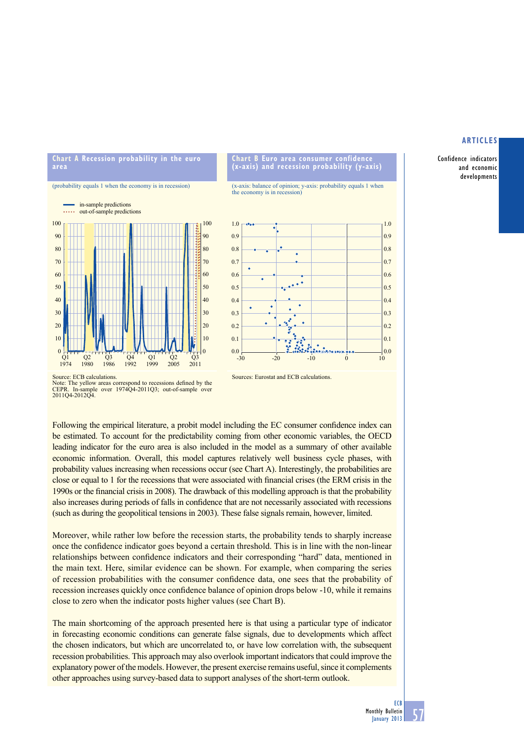Confidence indicators and economic developments

# **Chart A Recession probability in the euro area**





### **Chart b euro area consumer confidence (x-axis) and recession probability (y-axis)**

(x-axis: balance of opinion; y-axis: probability equals 1 when the economy is in recession)



Source: ECB calculations.

Note: The yellow areas correspond to recessions defined by the CEPR. In-sample over 1974Q4-2011Q3; out-of-sample over 2011Q4-2012Q4.

Sources: Eurostat and ECB calculations.

Following the empirical literature, a probit model including the EC consumer confidence index can be estimated. To account for the predictability coming from other economic variables, the OECD leading indicator for the euro area is also included in the model as a summary of other available economic information. Overall, this model captures relatively well business cycle phases, with probability values increasing when recessions occur (see Chart A). Interestingly, the probabilities are close or equal to 1 for the recessions that were associated with financial crises (the ERM crisis in the 1990s or the financial crisis in 2008). The drawback of this modelling approach is that the probability also increases during periods of falls in confidence that are not necessarily associated with recessions (such as during the geopolitical tensions in 2003). These false signals remain, however, limited.

Moreover, while rather low before the recession starts, the probability tends to sharply increase once the confidence indicator goes beyond a certain threshold. This is in line with the non-linear relationships between confidence indicators and their corresponding "hard" data, mentioned in the main text. Here, similar evidence can be shown. For example, when comparing the series of recession probabilities with the consumer confidence data, one sees that the probability of recession increases quickly once confidence balance of opinion drops below -10, while it remains close to zero when the indicator posts higher values (see Chart B).

The main shortcoming of the approach presented here is that using a particular type of indicator in forecasting economic conditions can generate false signals, due to developments which affect the chosen indicators, but which are uncorrelated to, or have low correlation with, the subsequent recession probabilities. This approach may also overlook important indicators that could improve the explanatory power of the models. However, the present exercise remains useful, since it complements other approaches using survey-based data to support analyses of the short-term outlook.